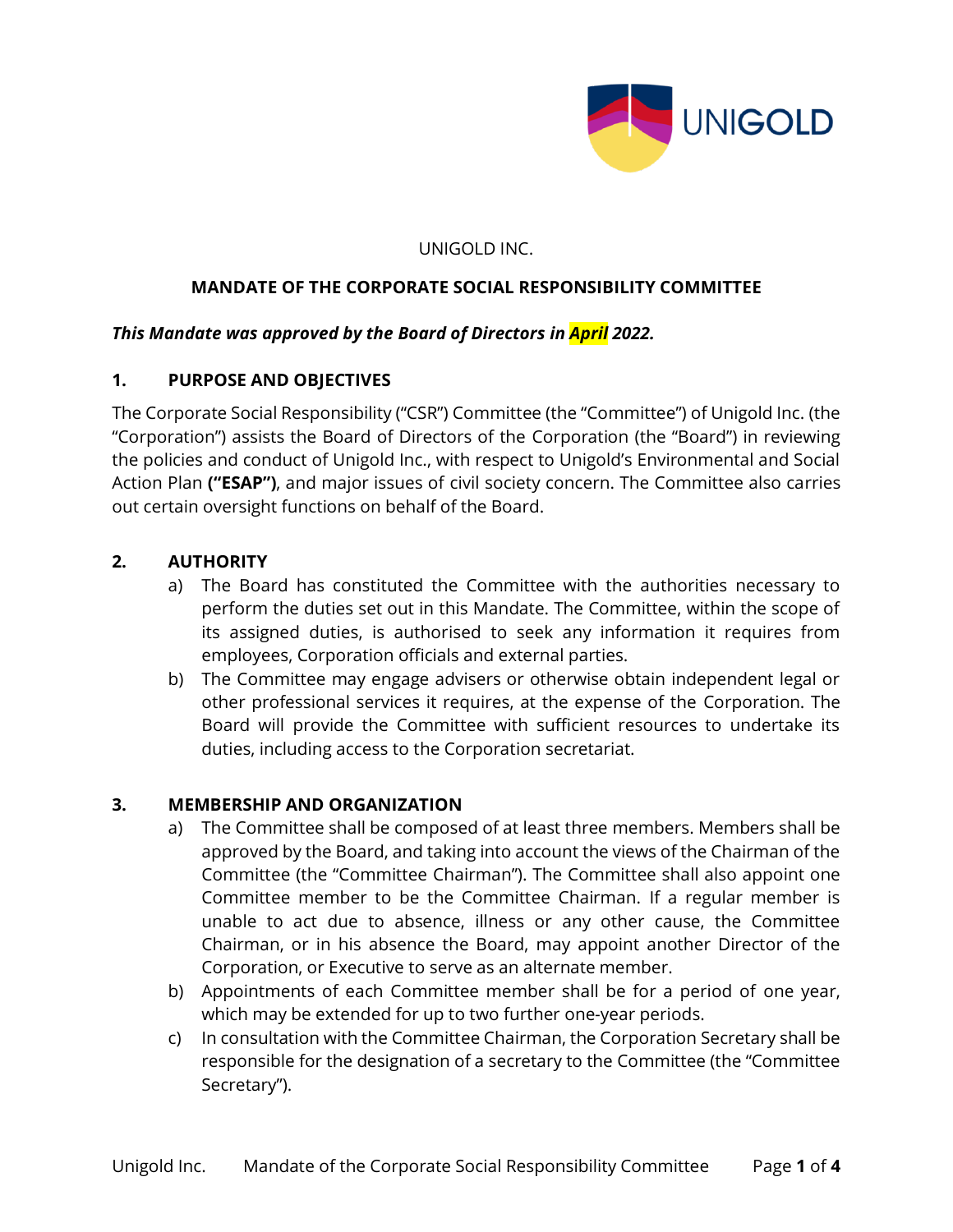

### UNIGOLD INC.

## **MANDATE OF THE CORPORATE SOCIAL RESPONSIBILITY COMMITTEE**

### *This Mandate was approved by the Board of Directors in April 2022.*

### **1. PURPOSE AND OBJECTIVES**

The Corporate Social Responsibility ("CSR") Committee (the "Committee") of Unigold Inc. (the "Corporation") assists the Board of Directors of the Corporation (the "Board") in reviewing the policies and conduct of Unigold Inc., with respect to Unigold's Environmental and Social Action Plan **("ESAP")**, and major issues of civil society concern. The Committee also carries out certain oversight functions on behalf of the Board.

### **2. AUTHORITY**

- a) The Board has constituted the Committee with the authorities necessary to perform the duties set out in this Mandate. The Committee, within the scope of its assigned duties, is authorised to seek any information it requires from employees, Corporation officials and external parties.
- b) The Committee may engage advisers or otherwise obtain independent legal or other professional services it requires, at the expense of the Corporation. The Board will provide the Committee with sufficient resources to undertake its duties, including access to the Corporation secretariat.

### **3. MEMBERSHIP AND ORGANIZATION**

- a) The Committee shall be composed of at least three members. Members shall be approved by the Board, and taking into account the views of the Chairman of the Committee (the "Committee Chairman"). The Committee shall also appoint one Committee member to be the Committee Chairman. If a regular member is unable to act due to absence, illness or any other cause, the Committee Chairman, or in his absence the Board, may appoint another Director of the Corporation, or Executive to serve as an alternate member.
- b) Appointments of each Committee member shall be for a period of one year, which may be extended for up to two further one-year periods.
- c) In consultation with the Committee Chairman, the Corporation Secretary shall be responsible for the designation of a secretary to the Committee (the "Committee Secretary").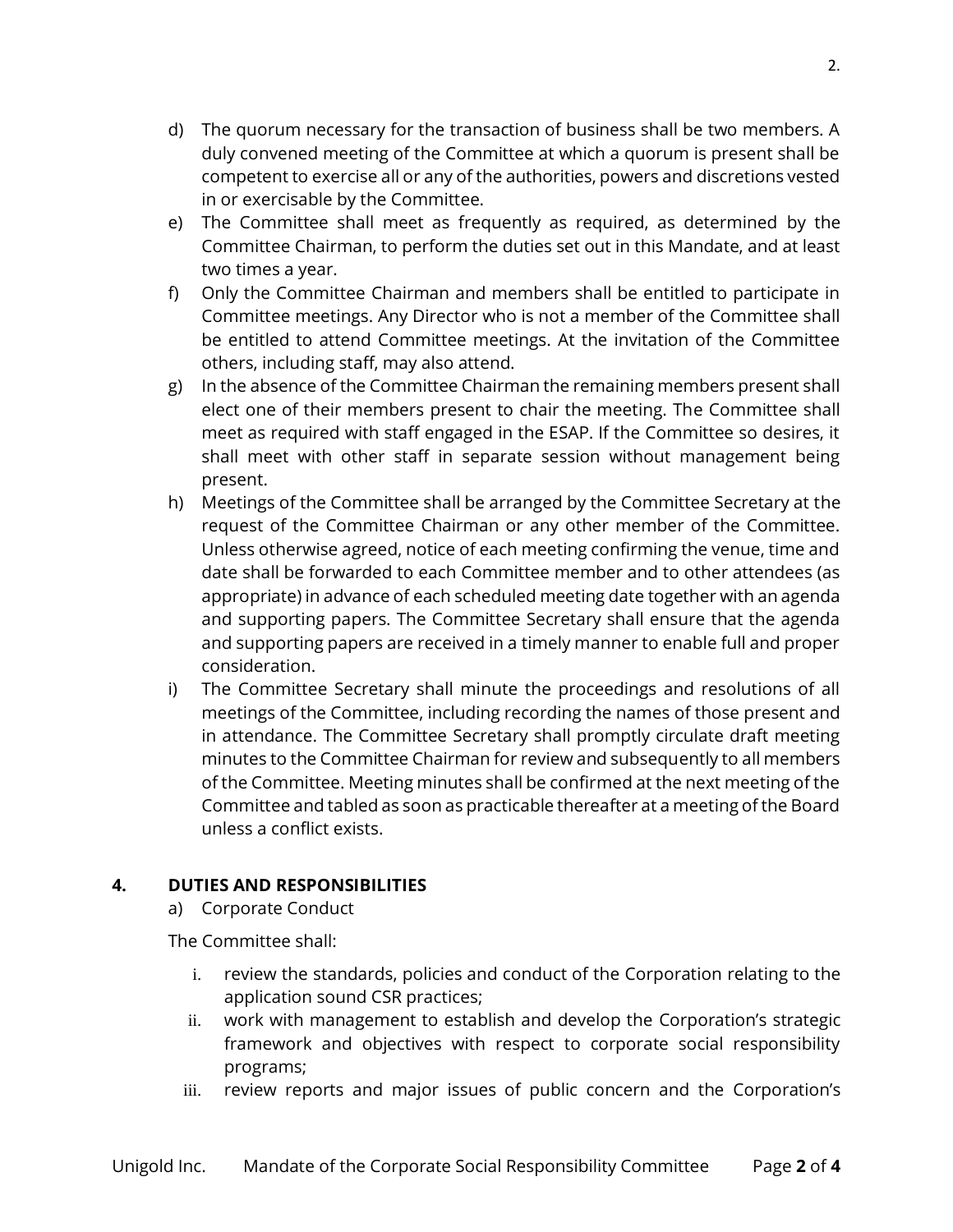- d) The quorum necessary for the transaction of business shall be two members. A duly convened meeting of the Committee at which a quorum is present shall be competent to exercise all or any of the authorities, powers and discretions vested in or exercisable by the Committee.
- e) The Committee shall meet as frequently as required, as determined by the Committee Chairman, to perform the duties set out in this Mandate, and at least two times a year.
- f) Only the Committee Chairman and members shall be entitled to participate in Committee meetings. Any Director who is not a member of the Committee shall be entitled to attend Committee meetings. At the invitation of the Committee others, including staff, may also attend.
- g) In the absence of the Committee Chairman the remaining members present shall elect one of their members present to chair the meeting. The Committee shall meet as required with staff engaged in the ESAP. If the Committee so desires, it shall meet with other staff in separate session without management being present.
- h) Meetings of the Committee shall be arranged by the Committee Secretary at the request of the Committee Chairman or any other member of the Committee. Unless otherwise agreed, notice of each meeting confirming the venue, time and date shall be forwarded to each Committee member and to other attendees (as appropriate) in advance of each scheduled meeting date together with an agenda and supporting papers. The Committee Secretary shall ensure that the agenda and supporting papers are received in a timely manner to enable full and proper consideration.
- i) The Committee Secretary shall minute the proceedings and resolutions of all meetings of the Committee, including recording the names of those present and in attendance. The Committee Secretary shall promptly circulate draft meeting minutes to the Committee Chairman for review and subsequently to all members of the Committee. Meeting minutes shall be confirmed at the next meeting of the Committee and tabled as soon as practicable thereafter at a meeting of the Board unless a conflict exists.

# **4. DUTIES AND RESPONSIBILITIES**

a) Corporate Conduct

The Committee shall:

- i. review the standards, policies and conduct of the Corporation relating to the application sound CSR practices;
- ii. work with management to establish and develop the Corporation's strategic framework and objectives with respect to corporate social responsibility programs;
- iii. review reports and major issues of public concern and the Corporation's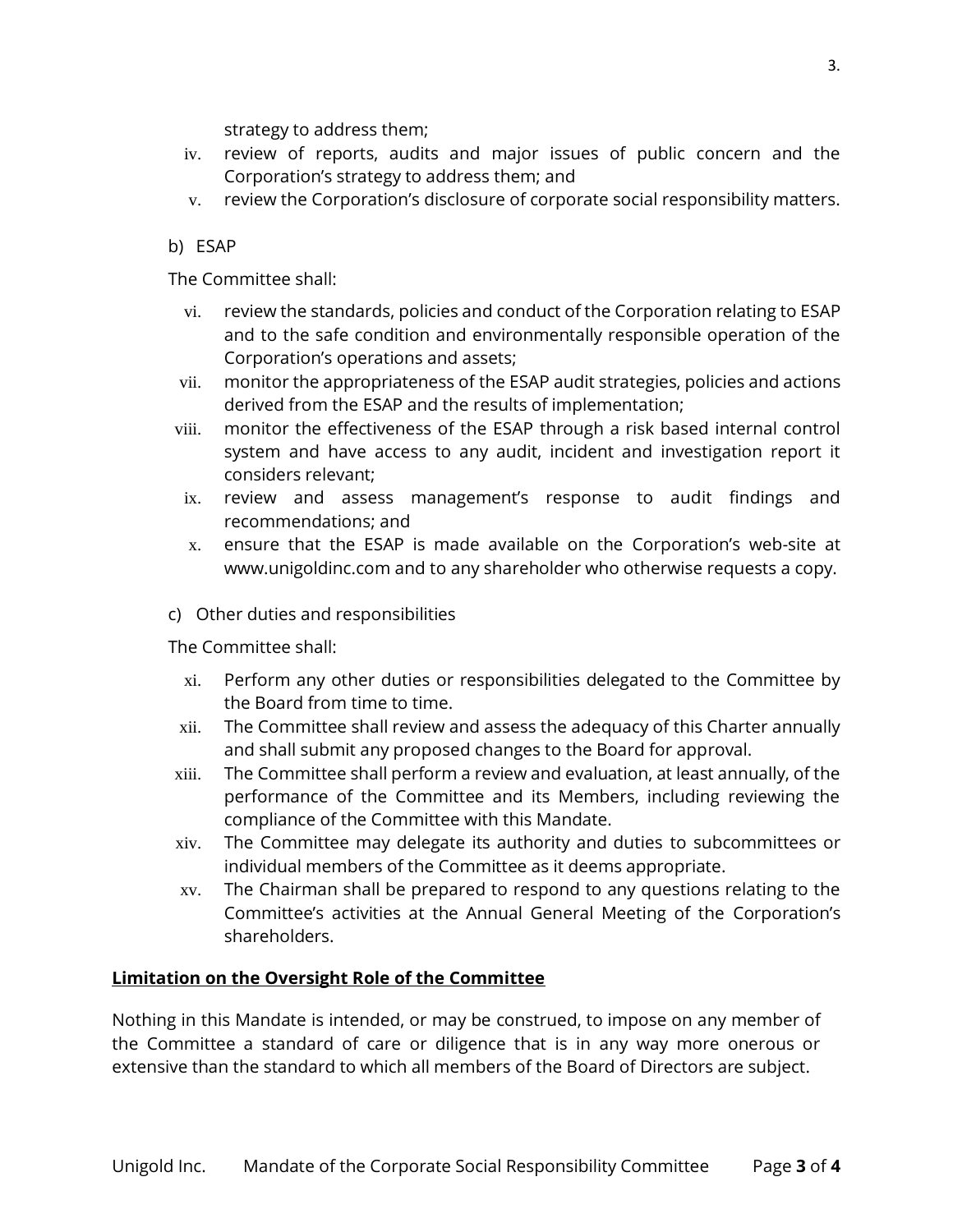strategy to address them;

- iv. review of reports, audits and major issues of public concern and the Corporation's strategy to address them; and
- v. review the Corporation's disclosure of corporate social responsibility matters.

## b) ESAP

The Committee shall:

- vi. review the standards, policies and conduct of the Corporation relating to ESAP and to the safe condition and environmentally responsible operation of the Corporation's operations and assets;
- vii. monitor the appropriateness of the ESAP audit strategies, policies and actions derived from the ESAP and the results of implementation;
- viii. monitor the effectiveness of the ESAP through a risk based internal control system and have access to any audit, incident and investigation report it considers relevant;
- ix. review and assess management's response to audit findings and recommendations; and
- x. ensure that the ESAP is made available on the Corporation's web-site at www.unigoldinc.com and to any shareholder who otherwise requests a copy.
- c) Other duties and responsibilities

The Committee shall:

- xi. Perform any other duties or responsibilities delegated to the Committee by the Board from time to time.
- xii. The Committee shall review and assess the adequacy of this Charter annually and shall submit any proposed changes to the Board for approval.
- xiii. The Committee shall perform a review and evaluation, at least annually, of the performance of the Committee and its Members, including reviewing the compliance of the Committee with this Mandate.
- xiv. The Committee may delegate its authority and duties to subcommittees or individual members of the Committee as it deems appropriate.
- xv. The Chairman shall be prepared to respond to any questions relating to the Committee's activities at the Annual General Meeting of the Corporation's shareholders.

# **Limitation on the Oversight Role of the Committee**

Nothing in this Mandate is intended, or may be construed, to impose on any member of the Committee a standard of care or diligence that is in any way more onerous or extensive than the standard to which all members of the Board of Directors are subject.